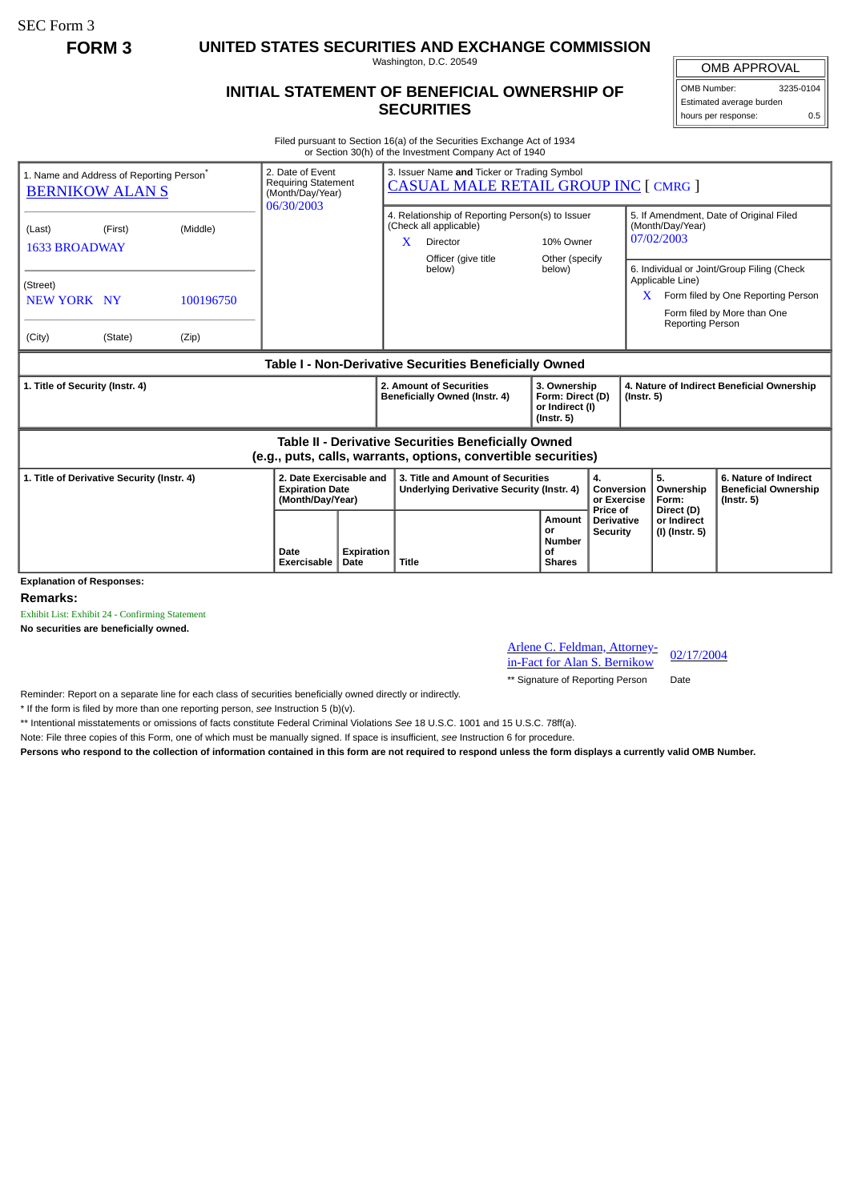SEC Form 3

**FORM 3 UNITED STATES SECURITIES AND EXCHANGE COMMISSION**

Washington, D.C. 20549

## **INITIAL STATEMENT OF BENEFICIAL OWNERSHIP OF SECURITIES**

OMB APPROVAL OMB Number: 3235-0104 Estimated average burden hours per response: 0.5

Filed pursuant to Section 16(a) of the Securities Exchange Act of 1934 or Section 30(h) of the Investment Company Act of 1940

| 1. Name and Address of Reporting Person <sup>®</sup><br><b>BERNIKOW ALANS</b>                                         |                                             |                    | 2. Date of Event<br><b>Requiring Statement</b><br>(Month/Day/Year)<br>06/30/2003 |                    | 3. Issuer Name and Ticker or Trading Symbol<br><b>CASUAL MALE RETAIL GROUP INC [ CMRG ]</b> |                                                                                                               |                                                                         |                                      |                                                                                                                                                                     |                                                                |                                                                          |  |
|-----------------------------------------------------------------------------------------------------------------------|---------------------------------------------|--------------------|----------------------------------------------------------------------------------|--------------------|---------------------------------------------------------------------------------------------|---------------------------------------------------------------------------------------------------------------|-------------------------------------------------------------------------|--------------------------------------|---------------------------------------------------------------------------------------------------------------------------------------------------------------------|----------------------------------------------------------------|--------------------------------------------------------------------------|--|
| (Last)                                                                                                                | (Middle)<br>(First)<br><b>1633 BROADWAY</b> |                    |                                                                                  |                    | X                                                                                           | 4. Relationship of Reporting Person(s) to Issuer<br>(Check all applicable)<br>Director<br>Officer (give title | 10% Owner<br>Other (specify                                             |                                      | 5. If Amendment, Date of Original Filed<br>(Month/Day/Year)<br>07/02/2003                                                                                           |                                                                |                                                                          |  |
| (Street)<br>NEW YORK NY<br>(City)                                                                                     | (State)                                     | 100196750<br>(Zip) |                                                                                  |                    |                                                                                             | below)                                                                                                        | below)                                                                  |                                      | 6. Individual or Joint/Group Filing (Check<br>Applicable Line)<br>Form filed by One Reporting Person<br>X<br>Form filed by More than One<br><b>Reporting Person</b> |                                                                |                                                                          |  |
|                                                                                                                       |                                             |                    |                                                                                  |                    |                                                                                             | Table I - Non-Derivative Securities Beneficially Owned                                                        |                                                                         |                                      |                                                                                                                                                                     |                                                                |                                                                          |  |
| 1. Title of Security (Instr. 4)                                                                                       |                                             |                    |                                                                                  |                    | 2. Amount of Securities<br>Beneficially Owned (Instr. 4)                                    |                                                                                                               | 3. Ownership<br>Form: Direct (D)<br>or Indirect (I)<br>$($ lnstr. 5 $)$ |                                      |                                                                                                                                                                     | 4. Nature of Indirect Beneficial Ownership<br>$($ Instr. 5 $)$ |                                                                          |  |
| Table II - Derivative Securities Beneficially Owned<br>(e.g., puts, calls, warrants, options, convertible securities) |                                             |                    |                                                                                  |                    |                                                                                             |                                                                                                               |                                                                         |                                      |                                                                                                                                                                     |                                                                |                                                                          |  |
| 1. Title of Derivative Security (Instr. 4)                                                                            |                                             |                    | 2. Date Exercisable and<br><b>Expiration Date</b><br>(Month/Day/Year)            |                    | 3. Title and Amount of Securities<br><b>Underlying Derivative Security (Instr. 4)</b>       |                                                                                                               | 4.<br>Price of                                                          |                                      | Conversion<br>or Exercise                                                                                                                                           | 5.<br>Ownership<br>Form:                                       | 6. Nature of Indirect<br><b>Beneficial Ownership</b><br>$($ Instr. 5 $)$ |  |
| <b>Explanation of Responses:</b>                                                                                      |                                             |                    | Date<br>Exercisable                                                              | Expiration<br>Date | <b>Title</b>                                                                                |                                                                                                               | Amount<br>or<br><b>Number</b><br>Οf<br><b>Shares</b>                    | <b>Derivative</b><br><b>Security</b> |                                                                                                                                                                     | Direct (D)<br>or Indirect<br>(I) (Instr. 5)                    |                                                                          |  |

**Remarks:**

Exhibit List: Exhibit 24 - Confirming Statement

**No securities are beneficially owned.**

Arlene C. Feldman, Attorney-Arlene C. Feldman, Attorney-<br>in-Fact for Alan S. Bernikow 02/17/2004

\*\* Signature of Reporting Person Date

Reminder: Report on a separate line for each class of securities beneficially owned directly or indirectly.

\* If the form is filed by more than one reporting person, *see* Instruction 5 (b)(v).

\*\* Intentional misstatements or omissions of facts constitute Federal Criminal Violations *See* 18 U.S.C. 1001 and 15 U.S.C. 78ff(a).

Note: File three copies of this Form, one of which must be manually signed. If space is insufficient, *see* Instruction 6 for procedure.

**Persons who respond to the collection of information contained in this form are not required to respond unless the form displays a currently valid OMB Number.**